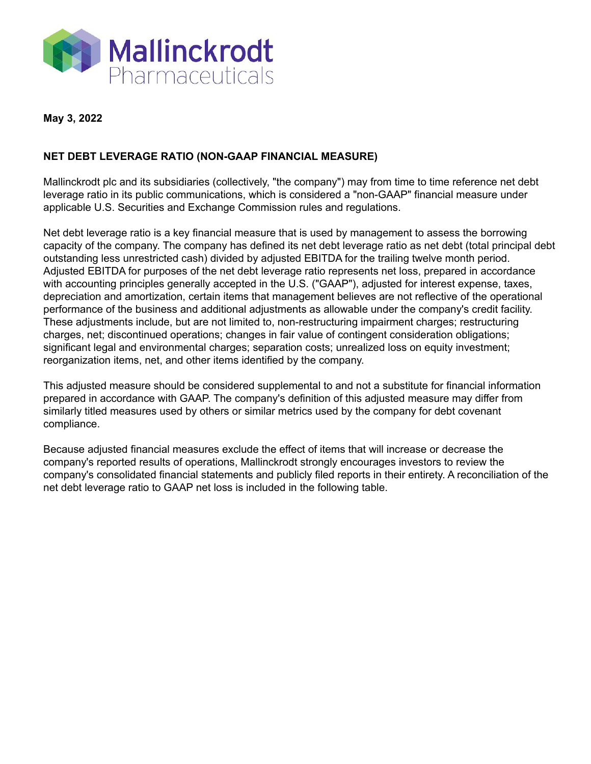

## **May 3, 2022**

## **NET DEBT LEVERAGE RATIO (NON-GAAP FINANCIAL MEASURE)**

Mallinckrodt plc and its subsidiaries (collectively, "the company") may from time to time reference net debt leverage ratio in its public communications, which is considered a "non-GAAP" financial measure under applicable U.S. Securities and Exchange Commission rules and regulations.

Net debt leverage ratio is a key financial measure that is used by management to assess the borrowing capacity of the company. The company has defined its net debt leverage ratio as net debt (total principal debt outstanding less unrestricted cash) divided by adjusted EBITDA for the trailing twelve month period. Adjusted EBITDA for purposes of the net debt leverage ratio represents net loss, prepared in accordance with accounting principles generally accepted in the U.S. ("GAAP"), adjusted for interest expense, taxes, depreciation and amortization, certain items that management believes are not reflective of the operational performance of the business and additional adjustments as allowable under the company's credit facility. These adjustments include, but are not limited to, non-restructuring impairment charges; restructuring charges, net; discontinued operations; changes in fair value of contingent consideration obligations; significant legal and environmental charges; separation costs; unrealized loss on equity investment; reorganization items, net, and other items identified by the company.

This adjusted measure should be considered supplemental to and not a substitute for financial information prepared in accordance with GAAP. The company's definition of this adjusted measure may differ from similarly titled measures used by others or similar metrics used by the company for debt covenant compliance.

Because adjusted financial measures exclude the effect of items that will increase or decrease the company's reported results of operations, Mallinckrodt strongly encourages investors to review the company's consolidated financial statements and publicly filed reports in their entirety. A reconciliation of the net debt leverage ratio to GAAP net loss is included in the following table.